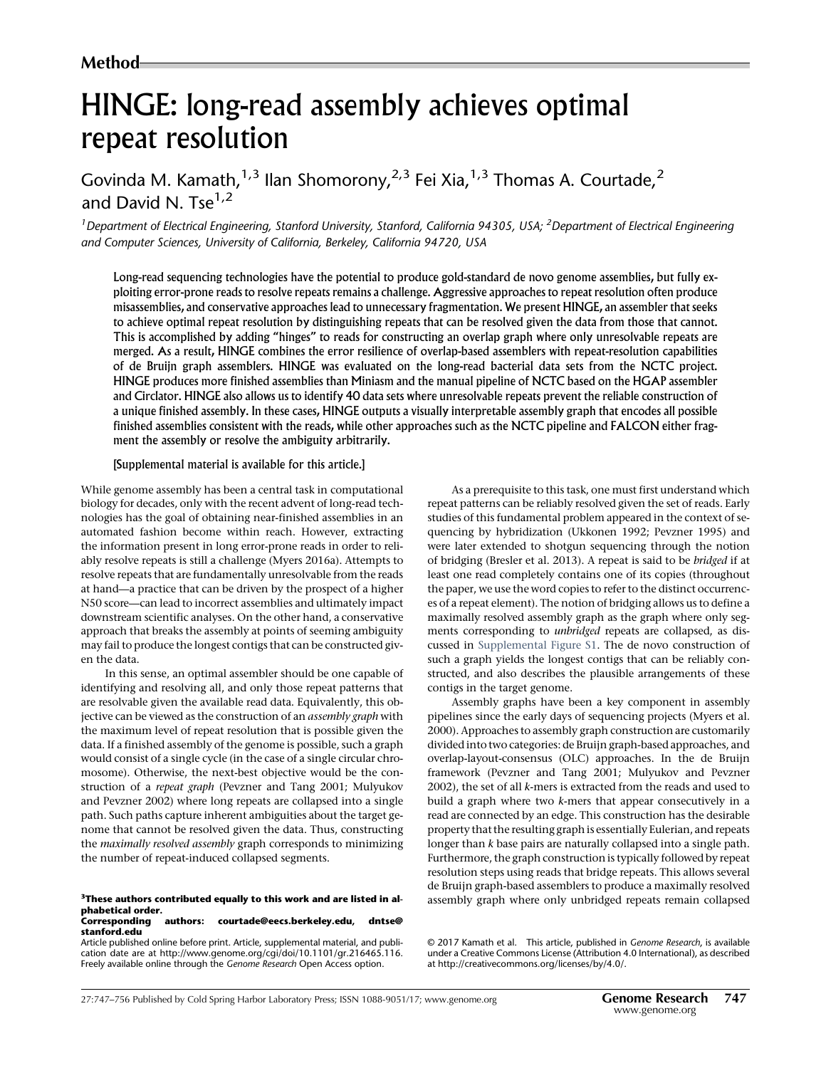# HINGE: long-read assembly achieves optimal repeat resolution

Govinda M. Kamath, $1,3$  Ilan Shomorony, $2,3$  Fei Xia, $1,3$  Thomas A. Courtade, $2$ and David N. Tse $1,2$ 

<sup>1</sup> Department of Electrical Engineering, Stanford University, Stanford, California 94305, USA; <sup>2</sup> Department of Electrical Engineering and Computer Sciences, University of California, Berkeley, California 94720, USA

Long-read sequencing technologies have the potential to produce gold-standard de novo genome assemblies, but fully exploiting error-prone reads to resolve repeats remains a challenge. Aggressive approaches to repeat resolution often produce misassemblies, and conservative approaches lead to unnecessary fragmentation. We present HINGE, an assembler that seeks to achieve optimal repeat resolution by distinguishing repeats that can be resolved given the data from those that cannot. This is accomplished by adding "hinges" to reads for constructing an overlap graph where only unresolvable repeats are merged. As a result, HINGE combines the error resilience of overlap-based assemblers with repeat-resolution capabilities of de Bruijn graph assemblers. HINGE was evaluated on the long-read bacterial data sets from the NCTC project. HINGE produces more finished assemblies than Miniasm and the manual pipeline of NCTC based on the HGAP assembler and Circlator. HINGE also allows us to identify 40 data sets where unresolvable repeats prevent the reliable construction of a unique finished assembly. In these cases, HINGE outputs a visually interpretable assembly graph that encodes all possible finished assemblies consistent with the reads, while other approaches such as the NCTC pipeline and FALCON either fragment the assembly or resolve the ambiguity arbitrarily.

#### [Supplemental material is available for this article.]

While genome assembly has been a central task in computational biology for decades, only with the recent advent of long-read technologies has the goal of obtaining near-finished assemblies in an automated fashion become within reach. However, extracting the information present in long error-prone reads in order to reliably resolve repeats is still a challenge (Myers 2016a). Attempts to resolve repeats that are fundamentally unresolvable from the reads at hand—a practice that can be driven by the prospect of a higher N50 score—can lead to incorrect assemblies and ultimately impact downstream scientific analyses. On the other hand, a conservative approach that breaks the assembly at points of seeming ambiguity may fail to produce the longest contigs that can be constructed given the data.

In this sense, an optimal assembler should be one capable of identifying and resolving all, and only those repeat patterns that are resolvable given the available read data. Equivalently, this objective can be viewed as the construction of an *assembly graph* with the maximum level of repeat resolution that is possible given the data. If a finished assembly of the genome is possible, such a graph would consist of a single cycle (in the case of a single circular chromosome). Otherwise, the next-best objective would be the construction of a repeat graph (Pevzner and Tang 2001; Mulyukov and Pevzner 2002) where long repeats are collapsed into a single path. Such paths capture inherent ambiguities about the target genome that cannot be resolved given the data. Thus, constructing the maximally resolved assembly graph corresponds to minimizing the number of repeat-induced collapsed segments.

## phabetical order. authors: [courtade@eecs.berkeley.edu](mailto:courtade@eecs.berkeley.edu), [dntse@](mailto:dntse@stanford.edu)

## [stanford.edu](mailto:dntse@stanford.edu)

Article published online before print. Article, supplemental material, and publication date are at [http://www.genome.org/cgi/doi/10.1101/gr.216465.116.](http://www.genome.org/cgi/doi/10.1101/gr.216465.116) Freely available online through the Genome Research Open Access option.

As a prerequisite to this task, one must first understand which repeat patterns can be reliably resolved given the set of reads. Early studies of this fundamental problem appeared in the context of sequencing by hybridization (Ukkonen 1992; Pevzner 1995) and were later extended to shotgun sequencing through the notion of bridging (Bresler et al. 2013). A repeat is said to be bridged if at least one read completely contains one of its copies (throughout the paper, we use the word copies to refer to the distinct occurrences of a repeat element). The notion of bridging allows us to define a maximally resolved assembly graph as the graph where only segments corresponding to unbridged repeats are collapsed, as discussed in [Supplemental Figure S1.](http://genome.cshlp.org/lookup/suppl/doi:10.1101/gr.216465.116/-/DC1) The de novo construction of such a graph yields the longest contigs that can be reliably constructed, and also describes the plausible arrangements of these contigs in the target genome.

Assembly graphs have been a key component in assembly pipelines since the early days of sequencing projects (Myers et al. 2000). Approaches to assembly graph construction are customarily divided into two categories: de Bruijn graph-based approaches, and overlap-layout-consensus (OLC) approaches. In the de Bruijn framework (Pevzner and Tang 2001; Mulyukov and Pevzner 2002), the set of all k-mers is extracted from the reads and used to build a graph where two k-mers that appear consecutively in a read are connected by an edge. This construction has the desirable property that the resulting graph is essentially Eulerian, and repeats longer than k base pairs are naturally collapsed into a single path. Furthermore, the graph construction is typically followed by repeat resolution steps using reads that bridge repeats. This allows several de Bruijn graph-based assemblers to produce a maximally resolved <sup>3</sup>These authors contributed equally to this work and are listed in al-<br> **Same Stead Stead Stead Andridge Stead and Stead 3** and predict repeats remain collapsed repeats remain collapsed

[<sup>© 2017</sup> Kamath et al.](http://genome.cshlp.org/site/misc/terms.xhtml) This article, published in Genome Research, is available under a Creative Commons License (Attribution 4.0 International), as described at [http://creativecommons.org/licenses/by/4.0/.](http://creativecommons.org/licenses/by/4.0/)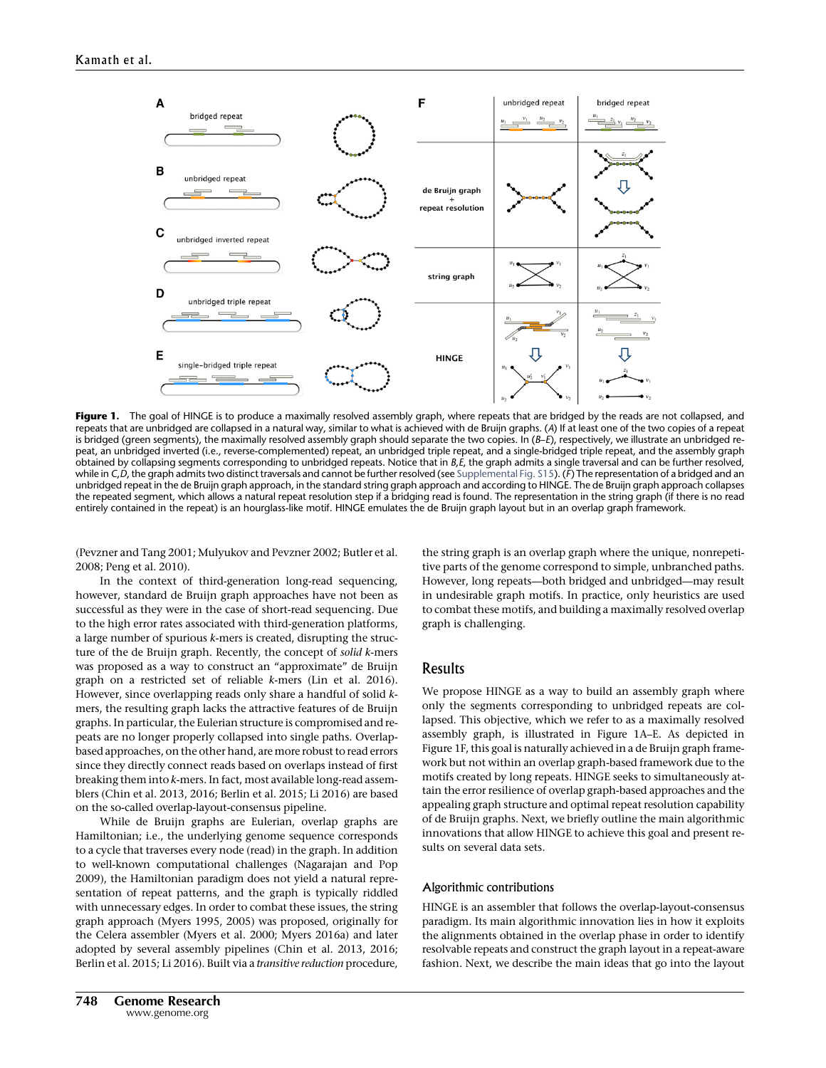

Figure 1. The goal of HINGE is to produce a maximally resolved assembly graph, where repeats that are bridged by the reads are not collapsed, and repeats that are unbridged are collapsed in a natural way, similar to what is achieved with de Bruijn graphs. (A) If at least one of the two copies of a repeat is bridged (green segments), the maximally resolved assembly graph should separate the two copies. In (B-E), respectively, we illustrate an unbridged repeat, an unbridged inverted (i.e., reverse-complemented) repeat, an unbridged triple repeat, and a single-bridged triple repeat, and the assembly graph obtained by collapsing segments corresponding to unbridged repeats. Notice that in  $B<sub>i</sub>E$ , the graph admits a single traversal and can be further resolved, while in C,D, the graph admits two distinct traversals and cannot be further resolved (see [Supplemental Fig. S15\)](http://genome.cshlp.org/lookup/suppl/doi:10.1101/gr.216465.116/-/DC1). (F) The representation of a bridged and an unbridged repeat in the de Bruijn graph approach, in the standard string graph approach and according to HINGE. The de Bruijn graph approach collapses the repeated segment, which allows a natural repeat resolution step if a bridging read is found. The representation in the string graph (if there is no read entirely contained in the repeat) is an hourglass-like motif. HINGE emulates the de Bruijn graph layout but in an overlap graph framework.

(Pevzner and Tang 2001; Mulyukov and Pevzner 2002; Butler et al. 2008; Peng et al. 2010).

In the context of third-generation long-read sequencing, however, standard de Bruijn graph approaches have not been as successful as they were in the case of short-read sequencing. Due to the high error rates associated with third-generation platforms, a large number of spurious k-mers is created, disrupting the structure of the de Bruijn graph. Recently, the concept of solid k-mers was proposed as a way to construct an "approximate" de Bruijn graph on a restricted set of reliable k-mers (Lin et al. 2016). However, since overlapping reads only share a handful of solid kmers, the resulting graph lacks the attractive features of de Bruijn graphs. In particular, the Eulerian structure is compromised and repeats are no longer properly collapsed into single paths. Overlapbased approaches, on the other hand, are more robust to read errors since they directly connect reads based on overlaps instead of first breaking them into k-mers. In fact, most available long-read assemblers (Chin et al. 2013, 2016; Berlin et al. 2015; Li 2016) are based on the so-called overlap-layout-consensus pipeline.

While de Bruijn graphs are Eulerian, overlap graphs are Hamiltonian; i.e., the underlying genome sequence corresponds to a cycle that traverses every node (read) in the graph. In addition to well-known computational challenges (Nagarajan and Pop 2009), the Hamiltonian paradigm does not yield a natural representation of repeat patterns, and the graph is typically riddled with unnecessary edges. In order to combat these issues, the string graph approach (Myers 1995, 2005) was proposed, originally for the Celera assembler (Myers et al. 2000; Myers 2016a) and later adopted by several assembly pipelines (Chin et al. 2013, 2016; Berlin et al. 2015; Li 2016). Built via a transitive reduction procedure, the string graph is an overlap graph where the unique, nonrepetitive parts of the genome correspond to simple, unbranched paths. However, long repeats—both bridged and unbridged—may result in undesirable graph motifs. In practice, only heuristics are used to combat these motifs, and building a maximally resolved overlap graph is challenging.

## Results

We propose HINGE as a way to build an assembly graph where only the segments corresponding to unbridged repeats are collapsed. This objective, which we refer to as a maximally resolved assembly graph, is illustrated in Figure 1A–E. As depicted in Figure 1F, this goal is naturally achieved in a de Bruijn graph framework but not within an overlap graph-based framework due to the motifs created by long repeats. HINGE seeks to simultaneously attain the error resilience of overlap graph-based approaches and the appealing graph structure and optimal repeat resolution capability of de Bruijn graphs. Next, we briefly outline the main algorithmic innovations that allow HINGE to achieve this goal and present results on several data sets.

#### Algorithmic contributions

HINGE is an assembler that follows the overlap-layout-consensus paradigm. Its main algorithmic innovation lies in how it exploits the alignments obtained in the overlap phase in order to identify resolvable repeats and construct the graph layout in a repeat-aware fashion. Next, we describe the main ideas that go into the layout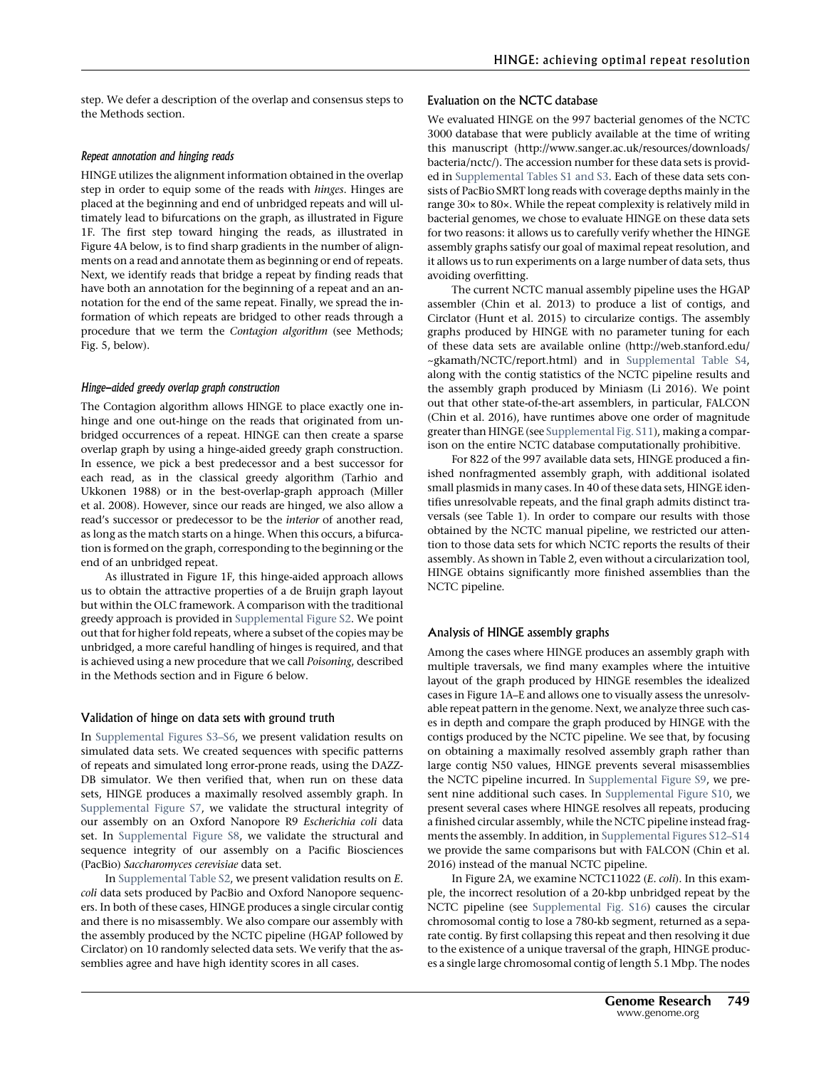step. We defer a description of the overlap and consensus steps to the Methods section.

#### Repeat annotation and hinging reads

HINGE utilizes the alignment information obtained in the overlap step in order to equip some of the reads with hinges. Hinges are placed at the beginning and end of unbridged repeats and will ultimately lead to bifurcations on the graph, as illustrated in Figure 1F. The first step toward hinging the reads, as illustrated in Figure 4A below, is to find sharp gradients in the number of alignments on a read and annotate them as beginning or end of repeats. Next, we identify reads that bridge a repeat by finding reads that have both an annotation for the beginning of a repeat and an annotation for the end of the same repeat. Finally, we spread the information of which repeats are bridged to other reads through a procedure that we term the Contagion algorithm (see Methods; Fig. 5, below).

#### Hinge-aided greedy overlap graph construction

The Contagion algorithm allows HINGE to place exactly one inhinge and one out-hinge on the reads that originated from unbridged occurrences of a repeat. HINGE can then create a sparse overlap graph by using a hinge-aided greedy graph construction. In essence, we pick a best predecessor and a best successor for each read, as in the classical greedy algorithm (Tarhio and Ukkonen 1988) or in the best-overlap-graph approach (Miller et al. 2008). However, since our reads are hinged, we also allow a read's successor or predecessor to be the interior of another read, as long as the match starts on a hinge. When this occurs, a bifurcation is formed on the graph, corresponding to the beginning or the end of an unbridged repeat.

As illustrated in Figure 1F, this hinge-aided approach allows us to obtain the attractive properties of a de Bruijn graph layout but within the OLC framework. A comparison with the traditional greedy approach is provided in [Supplemental Figure S2](http://genome.cshlp.org/lookup/suppl/doi:10.1101/gr.216465.116/-/DC1). We point out that for higher fold repeats, where a subset of the copies may be unbridged, a more careful handling of hinges is required, and that is achieved using a new procedure that we call Poisoning, described in the Methods section and in Figure 6 below.

#### Validation of hinge on data sets with ground truth

In [Supplemental Figures S3](http://genome.cshlp.org/lookup/suppl/doi:10.1101/gr.216465.116/-/DC1)–S6, we present validation results on simulated data sets. We created sequences with specific patterns of repeats and simulated long error-prone reads, using the DAZZ-DB simulator. We then verified that, when run on these data sets, HINGE produces a maximally resolved assembly graph. In [Supplemental Figure S7](http://genome.cshlp.org/lookup/suppl/doi:10.1101/gr.216465.116/-/DC1), we validate the structural integrity of our assembly on an Oxford Nanopore R9 Escherichia coli data set. In [Supplemental Figure S8,](http://genome.cshlp.org/lookup/suppl/doi:10.1101/gr.216465.116/-/DC1) we validate the structural and sequence integrity of our assembly on a Pacific Biosciences (PacBio) Saccharomyces cerevisiae data set.

In [Supplemental Table S2,](http://genome.cshlp.org/lookup/suppl/doi:10.1101/gr.216465.116/-/DC1) we present validation results on E. coli data sets produced by PacBio and Oxford Nanopore sequencers. In both of these cases, HINGE produces a single circular contig and there is no misassembly. We also compare our assembly with the assembly produced by the NCTC pipeline (HGAP followed by Circlator) on 10 randomly selected data sets. We verify that the assemblies agree and have high identity scores in all cases.

### Evaluation on the NCTC database

We evaluated HINGE on the 997 bacterial genomes of the NCTC 3000 database that were publicly available at the time of writing this manuscript [\(http://www.sanger.ac.uk/resources/downloads/](http://www.sanger.ac.uk/resources/downloads/bacteria/nctc/) [bacteria/nctc/](http://www.sanger.ac.uk/resources/downloads/bacteria/nctc/)). The accession number for these data sets is provided in [Supplemental Tables S1 and S3](http://genome.cshlp.org/lookup/suppl/doi:10.1101/gr.216465.116/-/DC1). Each of these data sets consists of PacBio SMRT long reads with coverage depths mainly in the range 30× to 80×. While the repeat complexity is relatively mild in bacterial genomes, we chose to evaluate HINGE on these data sets for two reasons: it allows us to carefully verify whether the HINGE assembly graphs satisfy our goal of maximal repeat resolution, and it allows us to run experiments on a large number of data sets, thus avoiding overfitting.

The current NCTC manual assembly pipeline uses the HGAP assembler (Chin et al. 2013) to produce a list of contigs, and Circlator (Hunt et al. 2015) to circularize contigs. The assembly graphs produced by HINGE with no parameter tuning for each of these data sets are available online [\(http://web.stanford.edu/](http://web.stanford.edu/~gkamath/NCTC/report.html) [~gkamath/NCTC/report.html](http://web.stanford.edu/~gkamath/NCTC/report.html)) and in [Supplemental Table S4,](http://genome.cshlp.org/lookup/suppl/doi:10.1101/gr.216465.116/-/DC1) along with the contig statistics of the NCTC pipeline results and the assembly graph produced by Miniasm (Li 2016). We point out that other state-of-the-art assemblers, in particular, FALCON (Chin et al. 2016), have runtimes above one order of magnitude greater than HINGE (see [Supplemental Fig. S11\)](http://genome.cshlp.org/lookup/suppl/doi:10.1101/gr.216465.116/-/DC1), making a comparison on the entire NCTC database computationally prohibitive.

For 822 of the 997 available data sets, HINGE produced a finished nonfragmented assembly graph, with additional isolated small plasmids in many cases. In 40 of these data sets, HINGE identifies unresolvable repeats, and the final graph admits distinct traversals (see Table 1). In order to compare our results with those obtained by the NCTC manual pipeline, we restricted our attention to those data sets for which NCTC reports the results of their assembly. As shown in Table 2, even without a circularization tool, HINGE obtains significantly more finished assemblies than the NCTC pipeline.

#### Analysis of HINGE assembly graphs

Among the cases where HINGE produces an assembly graph with multiple traversals, we find many examples where the intuitive layout of the graph produced by HINGE resembles the idealized cases in Figure 1A–E and allows one to visually assess the unresolvable repeat pattern in the genome. Next, we analyze three such cases in depth and compare the graph produced by HINGE with the contigs produced by the NCTC pipeline. We see that, by focusing on obtaining a maximally resolved assembly graph rather than large contig N50 values, HINGE prevents several misassemblies the NCTC pipeline incurred. In [Supplemental Figure S9,](http://genome.cshlp.org/lookup/suppl/doi:10.1101/gr.216465.116/-/DC1) we present nine additional such cases. In [Supplemental Figure S10,](http://genome.cshlp.org/lookup/suppl/doi:10.1101/gr.216465.116/-/DC1) we present several cases where HINGE resolves all repeats, producing a finished circular assembly, while the NCTC pipeline instead fragments the assembly. In addition, in [Supplemental Figures S12](http://genome.cshlp.org/lookup/suppl/doi:10.1101/gr.216465.116/-/DC1)–S14 we provide the same comparisons but with FALCON (Chin et al. 2016) instead of the manual NCTC pipeline.

In Figure 2A, we examine NCTC11022 (E. coli). In this example, the incorrect resolution of a 20-kbp unbridged repeat by the NCTC pipeline (see [Supplemental Fig. S16\)](http://genome.cshlp.org/lookup/suppl/doi:10.1101/gr.216465.116/-/DC1) causes the circular chromosomal contig to lose a 780-kb segment, returned as a separate contig. By first collapsing this repeat and then resolving it due to the existence of a unique traversal of the graph, HINGE produces a single large chromosomal contig of length 5.1 Mbp. The nodes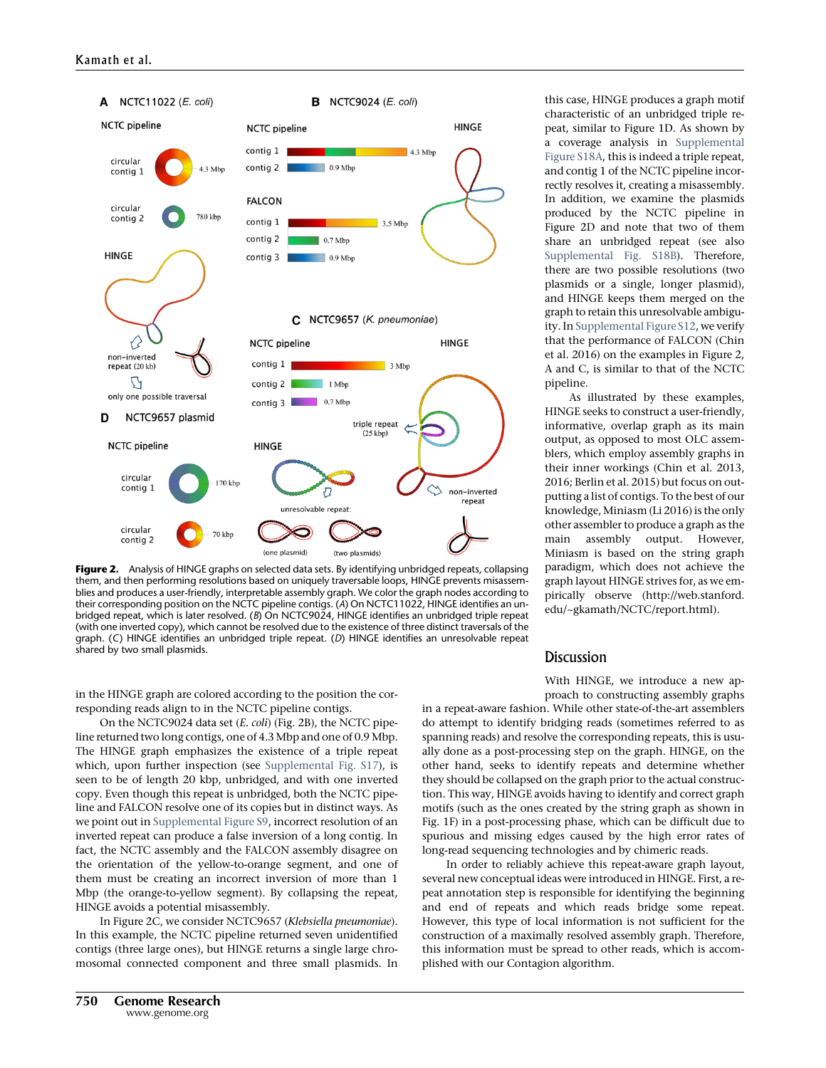

Figure 2. Analysis of HINGE graphs on selected data sets. By identifying unbridged repeats, collapsing them, and then performing resolutions based on uniquely traversable loops, HINGE prevents misassemblies and produces a user-friendly, interpretable assembly graph. We color the graph nodes according to their corresponding position on the NCTC pipeline contigs. (A) On NCTC11022, HINGE identifies an unbridged repeat, which is later resolved. (B) On NCTC9024, HINGE identifies an unbridged triple repeat (with one inverted copy), which cannot be resolved due to the existence of three distinct traversals of the graph. (C) HINGE identifies an unbridged triple repeat. (D) HINGE identifies an unresolvable repeat shared by two small plasmids.

in the HINGE graph are colored according to the position the corresponding reads align to in the NCTC pipeline contigs.

On the NCTC9024 data set (E. coli) (Fig. 2B), the NCTC pipeline returned two long contigs, one of 4.3 Mbp and one of 0.9 Mbp. The HINGE graph emphasizes the existence of a triple repeat which, upon further inspection (see [Supplemental Fig. S17\)](http://genome.cshlp.org/lookup/suppl/doi:10.1101/gr.216465.116/-/DC1), is seen to be of length 20 kbp, unbridged, and with one inverted copy. Even though this repeat is unbridged, both the NCTC pipeline and FALCON resolve one of its copies but in distinct ways. As we point out in [Supplemental Figure S9,](http://genome.cshlp.org/lookup/suppl/doi:10.1101/gr.216465.116/-/DC1) incorrect resolution of an inverted repeat can produce a false inversion of a long contig. In fact, the NCTC assembly and the FALCON assembly disagree on the orientation of the yellow-to-orange segment, and one of them must be creating an incorrect inversion of more than 1 Mbp (the orange-to-yellow segment). By collapsing the repeat, HINGE avoids a potential misassembly.

In Figure 2C, we consider NCTC9657 (Klebsiella pneumoniae). In this example, the NCTC pipeline returned seven unidentified contigs (three large ones), but HINGE returns a single large chromosomal connected component and three small plasmids. In this case, HINGE produces a graph motif characteristic of an unbridged triple repeat, similar to Figure 1D. As shown by a coverage analysis in [Supplemental](http://genome.cshlp.org/lookup/suppl/doi:10.1101/gr.216465.116/-/DC1) [Figure S18A,](http://genome.cshlp.org/lookup/suppl/doi:10.1101/gr.216465.116/-/DC1) this is indeed a triple repeat, and contig 1 of the NCTC pipeline incorrectly resolves it, creating a misassembly. In addition, we examine the plasmids produced by the NCTC pipeline in Figure 2D and note that two of them share an unbridged repeat (see also [Supplemental Fig. S18B\)](http://genome.cshlp.org/lookup/suppl/doi:10.1101/gr.216465.116/-/DC1). Therefore, there are two possible resolutions (two plasmids or a single, longer plasmid), and HINGE keeps them merged on the graph to retain this unresolvable ambiguity. In [Supplemental Figure S12,](http://genome.cshlp.org/lookup/suppl/doi:10.1101/gr.216465.116/-/DC1) we verify that the performance of FALCON (Chin et al. 2016) on the examples in Figure 2, A and C, is similar to that of the NCTC pipeline.

As illustrated by these examples, HINGE seeks to construct a user-friendly, informative, overlap graph as its main output, as opposed to most OLC assemblers, which employ assembly graphs in their inner workings (Chin et al. 2013, 2016; Berlin et al. 2015) but focus on outputting a list of contigs. To the best of our knowledge, Miniasm (Li 2016) is the only other assembler to produce a graph as the main assembly output. However, Miniasm is based on the string graph paradigm, which does not achieve the graph layout HINGE strives for, as we empirically observe ([http://web.stanford.](http://web.stanford.edu/~gkamath/NCTC/report.html) [edu/~gkamath/NCTC/report.html\)](http://web.stanford.edu/~gkamath/NCTC/report.html).

## **Discussion**

With HINGE, we introduce a new approach to constructing assembly graphs

in a repeat-aware fashion. While other state-of-the-art assemblers do attempt to identify bridging reads (sometimes referred to as spanning reads) and resolve the corresponding repeats, this is usually done as a post-processing step on the graph. HINGE, on the other hand, seeks to identify repeats and determine whether they should be collapsed on the graph prior to the actual construction. This way, HINGE avoids having to identify and correct graph motifs (such as the ones created by the string graph as shown in Fig. 1F) in a post-processing phase, which can be difficult due to spurious and missing edges caused by the high error rates of long-read sequencing technologies and by chimeric reads.

In order to reliably achieve this repeat-aware graph layout, several new conceptual ideas were introduced in HINGE. First, a repeat annotation step is responsible for identifying the beginning and end of repeats and which reads bridge some repeat. However, this type of local information is not sufficient for the construction of a maximally resolved assembly graph. Therefore, this information must be spread to other reads, which is accomplished with our Contagion algorithm.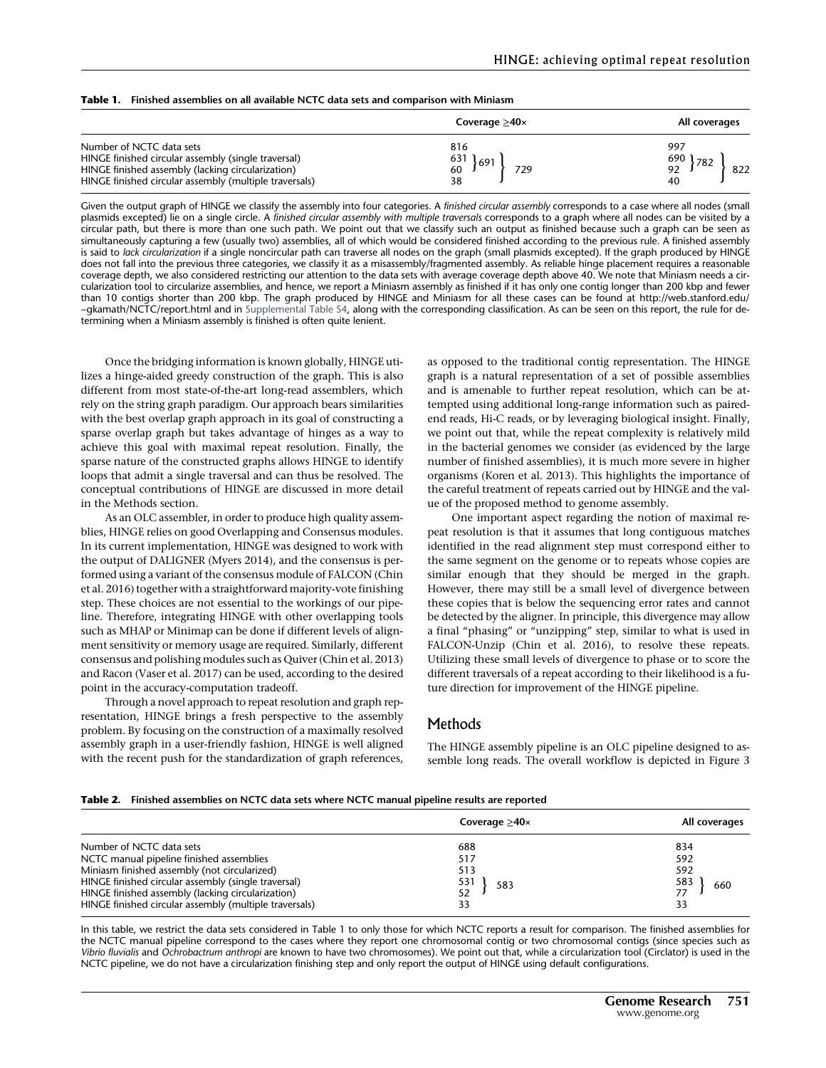|  |  |  |  | <b>Table 1.</b> Finished assemblies on all available NCTC data sets and comparison with Miniasm |
|--|--|--|--|-------------------------------------------------------------------------------------------------|
|--|--|--|--|-------------------------------------------------------------------------------------------------|

|                                                                                                                                                                                                | Coverage $\geq$ 40 $\times$                                      | All coverages                        |
|------------------------------------------------------------------------------------------------------------------------------------------------------------------------------------------------|------------------------------------------------------------------|--------------------------------------|
| Number of NCTC data sets<br>HINGE finished circular assembly (single traversal)<br>HINGE finished assembly (lacking circularization)<br>HINGE finished circular assembly (multiple traversals) | 816<br>$\begin{array}{c} 631 \\ 60 \end{array}$ 691<br>729<br>38 | 997<br>690<br>782<br>92<br>822<br>40 |

Given the output graph of HINGE we classify the assembly into four categories. A finished circular assembly corresponds to a case where all nodes (small plasmids excepted) lie on a single circle. A finished circular assembly with multiple traversals corresponds to a graph where all nodes can be visited by a circular path, but there is more than one such path. We point out that we classify such an output as finished because such a graph can be seen as simultaneously capturing a few (usually two) assemblies, all of which would be considered finished according to the previous rule. A finished assembly is said to lack circularization if a single noncircular path can traverse all nodes on the graph (small plasmids excepted). If the graph produced by HINGE does not fall into the previous three categories, we classify it as a misassembly/fragmented assembly. As reliable hinge placement requires a reasonable coverage depth, we also considered restricting our attention to the data sets with average coverage depth above 40. We note that Miniasm needs a circularization tool to circularize assemblies, and hence, we report a Miniasm assembly as finished if it has only one contig longer than 200 kbp and fewer than 10 contigs shorter than 200 kbp. The graph produced by HINGE and Miniasm for all these cases can be found at [http://web.stanford.edu/](http://web.stanford.edu/~gkamath/NCTC/report.html) [~gkamath/NCTC/report.html](http://web.stanford.edu/~gkamath/NCTC/report.html) and in [Supplemental Table S4](http://genome.cshlp.org/lookup/suppl/doi:10.1101/gr.216465.116/-/DC1), along with the corresponding classification. As can be seen on this report, the rule for determining when a Miniasm assembly is finished is often quite lenient.

Once the bridging information is known globally, HINGE utilizes a hinge-aided greedy construction of the graph. This is also different from most state-of-the-art long-read assemblers, which rely on the string graph paradigm. Our approach bears similarities with the best overlap graph approach in its goal of constructing a sparse overlap graph but takes advantage of hinges as a way to achieve this goal with maximal repeat resolution. Finally, the sparse nature of the constructed graphs allows HINGE to identify loops that admit a single traversal and can thus be resolved. The conceptual contributions of HINGE are discussed in more detail in the Methods section.

As an OLC assembler, in order to produce high quality assemblies, HINGE relies on good Overlapping and Consensus modules. In its current implementation, HINGE was designed to work with the output of DALIGNER (Myers 2014), and the consensus is performed using a variant of the consensus module of FALCON (Chin et al. 2016) together with a straightforward majority-vote finishing step. These choices are not essential to the workings of our pipeline. Therefore, integrating HINGE with other overlapping tools such as MHAP or Minimap can be done if different levels of alignment sensitivity or memory usage are required. Similarly, different consensus and polishing modules such as Quiver (Chin et al. 2013) and Racon (Vaser et al. 2017) can be used, according to the desired point in the accuracy-computation tradeoff.

Through a novel approach to repeat resolution and graph representation, HINGE brings a fresh perspective to the assembly problem. By focusing on the construction of a maximally resolved assembly graph in a user-friendly fashion, HINGE is well aligned with the recent push for the standardization of graph references,

as opposed to the traditional contig representation. The HINGE graph is a natural representation of a set of possible assemblies and is amenable to further repeat resolution, which can be attempted using additional long-range information such as pairedend reads, Hi-C reads, or by leveraging biological insight. Finally, we point out that, while the repeat complexity is relatively mild in the bacterial genomes we consider (as evidenced by the large number of finished assemblies), it is much more severe in higher organisms (Koren et al. 2013). This highlights the importance of the careful treatment of repeats carried out by HINGE and the value of the proposed method to genome assembly.

One important aspect regarding the notion of maximal repeat resolution is that it assumes that long contiguous matches identified in the read alignment step must correspond either to the same segment on the genome or to repeats whose copies are similar enough that they should be merged in the graph. However, there may still be a small level of divergence between these copies that is below the sequencing error rates and cannot be detected by the aligner. In principle, this divergence may allow a final "phasing" or "unzipping" step, similar to what is used in FALCON-Unzip (Chin et al. 2016), to resolve these repeats. Utilizing these small levels of divergence to phase or to score the different traversals of a repeat according to their likelihood is a future direction for improvement of the HINGE pipeline.

## Methods

The HINGE assembly pipeline is an OLC pipeline designed to assemble long reads. The overall workflow is depicted in Figure 3

#### Table 2. Finished assemblies on NCTC data sets where NCTC manual pipeline results are reported

|                                                        | Coverage $\geq$ 40 $\times$ | All coverages |
|--------------------------------------------------------|-----------------------------|---------------|
| Number of NCTC data sets                               | 688                         | 834           |
| NCTC manual pipeline finished assemblies               | 517                         | 592           |
| Miniasm finished assembly (not circularized)           | 513                         | 592           |
| HINGE finished circular assembly (single traversal)    | 531<br>583                  | 583<br>660    |
| HINGE finished assembly (lacking circularization)      | 52                          |               |
| HINGE finished circular assembly (multiple traversals) |                             | 33            |

In this table, we restrict the data sets considered in Table 1 to only those for which NCTC reports a result for comparison. The finished assemblies for the NCTC manual pipeline correspond to the cases where they report one chromosomal contig or two chromosomal contigs (since species such as Vibrio fluvialis and Ochrobactrum anthropi are known to have two chromosomes). We point out that, while a circularization tool (Circlator) is used in the NCTC pipeline, we do not have a circularization finishing step and only report the output of HINGE using default configurations.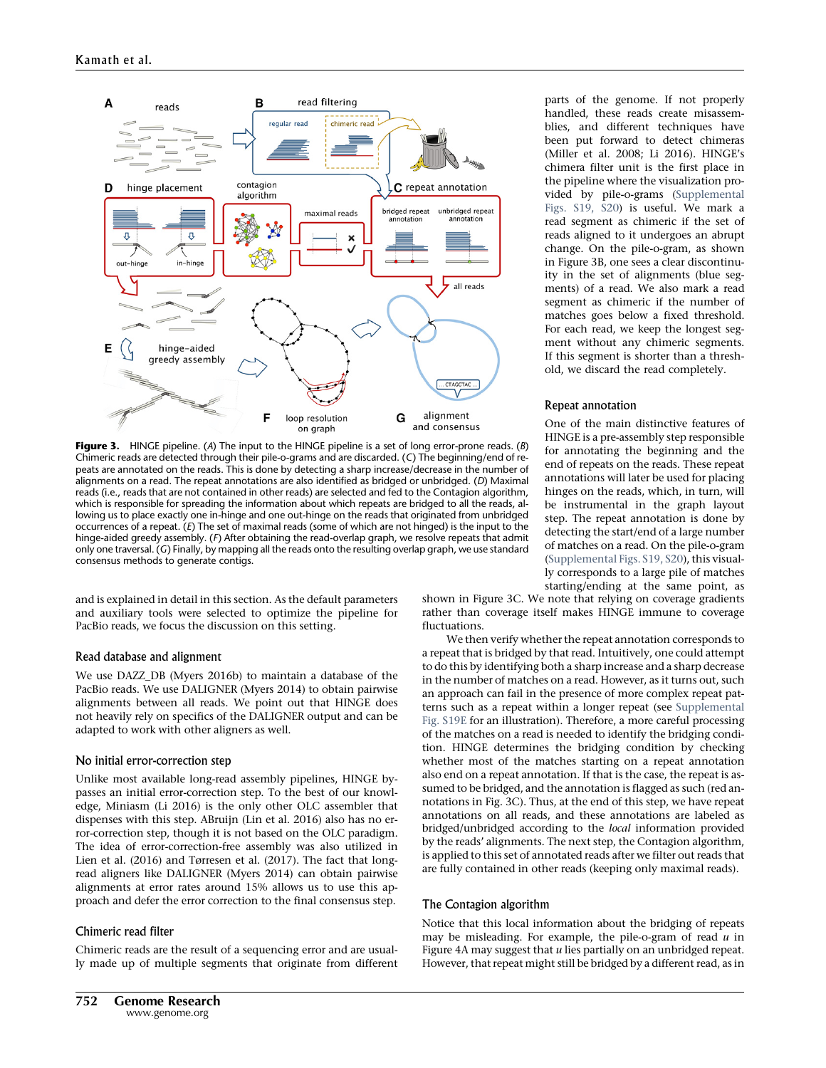

Figure 3. HINGE pipeline. (A) The input to the HINGE pipeline is a set of long error-prone reads. (B) Chimeric reads are detected through their pile-o-grams and are discarded. (C) The beginning/end of repeats are annotated on the reads. This is done by detecting a sharp increase/decrease in the number of alignments on a read. The repeat annotations are also identified as bridged or unbridged. (D) Maximal reads (i.e., reads that are not contained in other reads) are selected and fed to the Contagion algorithm, which is responsible for spreading the information about which repeats are bridged to all the reads, allowing us to place exactly one in-hinge and one out-hinge on the reads that originated from unbridged occurrences of a repeat. (E) The set of maximal reads (some of which are not hinged) is the input to the hinge-aided greedy assembly. (F) After obtaining the read-overlap graph, we resolve repeats that admit only one traversal. (G) Finally, by mapping all the reads onto the resulting overlap graph, we use standard consensus methods to generate contigs.

and is explained in detail in this section. As the default parameters and auxiliary tools were selected to optimize the pipeline for PacBio reads, we focus the discussion on this setting.

#### Read database and alignment

We use DAZZ\_DB (Myers 2016b) to maintain a database of the PacBio reads. We use DALIGNER (Myers 2014) to obtain pairwise alignments between all reads. We point out that HINGE does not heavily rely on specifics of the DALIGNER output and can be adapted to work with other aligners as well.

#### No initial error-correction step

Unlike most available long-read assembly pipelines, HINGE bypasses an initial error-correction step. To the best of our knowledge, Miniasm (Li 2016) is the only other OLC assembler that dispenses with this step. ABruijn (Lin et al. 2016) also has no error-correction step, though it is not based on the OLC paradigm. The idea of error-correction-free assembly was also utilized in Lien et al. (2016) and Tørresen et al. (2017). The fact that longread aligners like DALIGNER (Myers 2014) can obtain pairwise alignments at error rates around 15% allows us to use this approach and defer the error correction to the final consensus step.

#### Chimeric read filter

Chimeric reads are the result of a sequencing error and are usually made up of multiple segments that originate from different parts of the genome. If not properly handled, these reads create misassemblies, and different techniques have been put forward to detect chimeras (Miller et al. 2008; Li 2016). HINGE's chimera filter unit is the first place in the pipeline where the visualization provided by pile-o-grams [\(Supplemental](http://genome.cshlp.org/lookup/suppl/doi:10.1101/gr.216465.116/-/DC1) [Figs. S19, S20\)](http://genome.cshlp.org/lookup/suppl/doi:10.1101/gr.216465.116/-/DC1) is useful. We mark a read segment as chimeric if the set of reads aligned to it undergoes an abrupt change. On the pile-o-gram, as shown in Figure 3B, one sees a clear discontinuity in the set of alignments (blue segments) of a read. We also mark a read segment as chimeric if the number of matches goes below a fixed threshold. For each read, we keep the longest segment without any chimeric segments. If this segment is shorter than a threshold, we discard the read completely.

#### Repeat annotation

One of the main distinctive features of HINGE is a pre-assembly step responsible for annotating the beginning and the end of repeats on the reads. These repeat annotations will later be used for placing hinges on the reads, which, in turn, will be instrumental in the graph layout step. The repeat annotation is done by detecting the start/end of a large number of matches on a read. On the pile-o-gram ([Supplemental Figs. S19, S20](http://genome.cshlp.org/lookup/suppl/doi:10.1101/gr.216465.116/-/DC1)), this visually corresponds to a large pile of matches starting/ending at the same point, as

shown in Figure 3C. We note that relying on coverage gradients rather than coverage itself makes HINGE immune to coverage fluctuations.

We then verify whether the repeat annotation corresponds to a repeat that is bridged by that read. Intuitively, one could attempt to do this by identifying both a sharp increase and a sharp decrease in the number of matches on a read. However, as it turns out, such an approach can fail in the presence of more complex repeat patterns such as a repeat within a longer repeat (see [Supplemental](http://genome.cshlp.org/lookup/suppl/doi:10.1101/gr.216465.116/-/DC1) [Fig. S19E](http://genome.cshlp.org/lookup/suppl/doi:10.1101/gr.216465.116/-/DC1) for an illustration). Therefore, a more careful processing of the matches on a read is needed to identify the bridging condition. HINGE determines the bridging condition by checking whether most of the matches starting on a repeat annotation also end on a repeat annotation. If that is the case, the repeat is assumed to be bridged, and the annotation is flagged as such (red annotations in Fig. 3C). Thus, at the end of this step, we have repeat annotations on all reads, and these annotations are labeled as bridged/unbridged according to the local information provided by the reads' alignments. The next step, the Contagion algorithm, is applied to this set of annotated reads after we filter out reads that are fully contained in other reads (keeping only maximal reads).

#### The Contagion algorithm

Notice that this local information about the bridging of repeats may be misleading. For example, the pile-o-gram of read  $u$  in Figure 4A may suggest that  $u$  lies partially on an unbridged repeat. However, that repeat might still be bridged by a different read, as in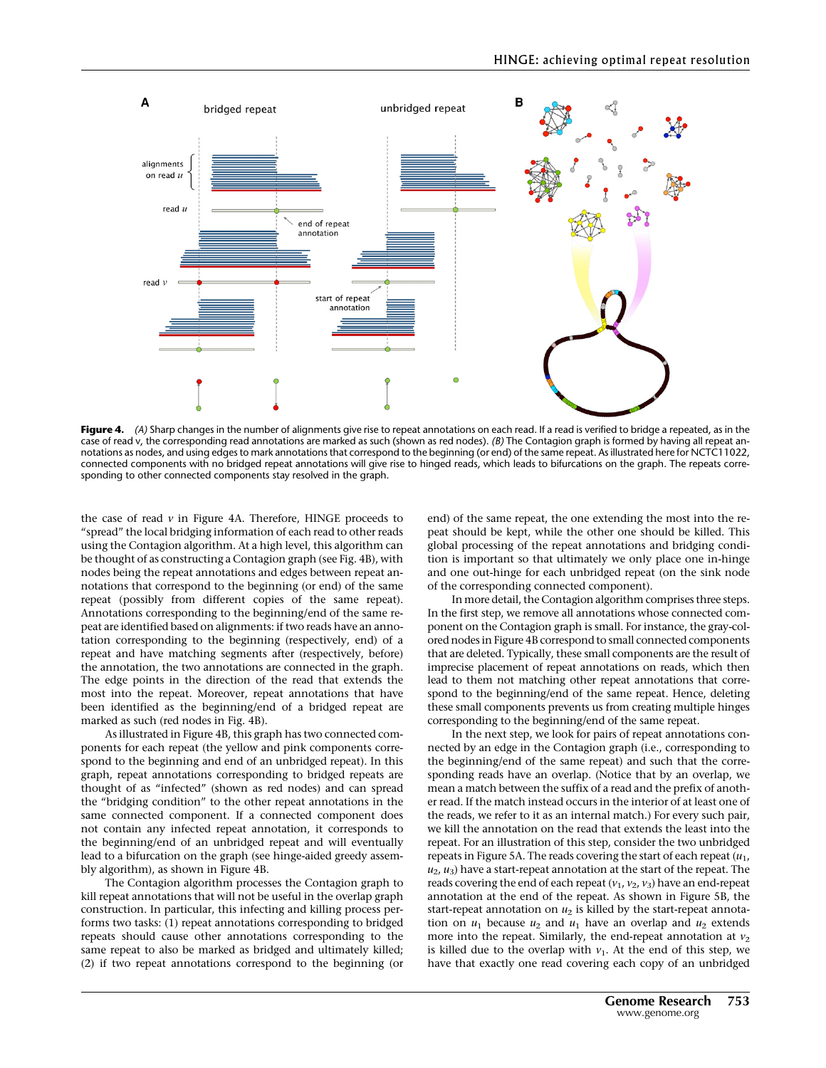

Figure 4. (A) Sharp changes in the number of alignments give rise to repeat annotations on each read. If a read is verified to bridge a repeated, as in the case of read v, the corresponding read annotations are marked as such (shown as red nodes). (B) The Contagion graph is formed by having all repeat annotations as nodes, and using edges to mark annotations that correspond to the beginning (or end) of the same repeat. As illustrated here for NCTC11022, connected components with no bridged repeat annotations will give rise to hinged reads, which leads to bifurcations on the graph. The repeats corresponding to other connected components stay resolved in the graph.

the case of read  $v$  in Figure 4A. Therefore, HINGE proceeds to "spread" the local bridging information of each read to other reads using the Contagion algorithm. At a high level, this algorithm can be thought of as constructing a Contagion graph (see Fig. 4B), with nodes being the repeat annotations and edges between repeat annotations that correspond to the beginning (or end) of the same repeat (possibly from different copies of the same repeat). Annotations corresponding to the beginning/end of the same repeat are identified based on alignments: if two reads have an annotation corresponding to the beginning (respectively, end) of a repeat and have matching segments after (respectively, before) the annotation, the two annotations are connected in the graph. The edge points in the direction of the read that extends the most into the repeat. Moreover, repeat annotations that have been identified as the beginning/end of a bridged repeat are marked as such (red nodes in Fig. 4B).

As illustrated in Figure 4B, this graph has two connected components for each repeat (the yellow and pink components correspond to the beginning and end of an unbridged repeat). In this graph, repeat annotations corresponding to bridged repeats are thought of as "infected" (shown as red nodes) and can spread the "bridging condition" to the other repeat annotations in the same connected component. If a connected component does not contain any infected repeat annotation, it corresponds to the beginning/end of an unbridged repeat and will eventually lead to a bifurcation on the graph (see hinge-aided greedy assembly algorithm), as shown in Figure 4B.

The Contagion algorithm processes the Contagion graph to kill repeat annotations that will not be useful in the overlap graph construction. In particular, this infecting and killing process performs two tasks: (1) repeat annotations corresponding to bridged repeats should cause other annotations corresponding to the same repeat to also be marked as bridged and ultimately killed; (2) if two repeat annotations correspond to the beginning (or

end) of the same repeat, the one extending the most into the repeat should be kept, while the other one should be killed. This global processing of the repeat annotations and bridging condition is important so that ultimately we only place one in-hinge and one out-hinge for each unbridged repeat (on the sink node of the corresponding connected component).

In more detail, the Contagion algorithm comprises three steps. In the first step, we remove all annotations whose connected component on the Contagion graph is small. For instance, the gray-colored nodes in Figure 4B correspond to small connected components that are deleted. Typically, these small components are the result of imprecise placement of repeat annotations on reads, which then lead to them not matching other repeat annotations that correspond to the beginning/end of the same repeat. Hence, deleting these small components prevents us from creating multiple hinges corresponding to the beginning/end of the same repeat.

In the next step, we look for pairs of repeat annotations connected by an edge in the Contagion graph (i.e., corresponding to the beginning/end of the same repeat) and such that the corresponding reads have an overlap. (Notice that by an overlap, we mean a match between the suffix of a read and the prefix of another read. If the match instead occurs in the interior of at least one of the reads, we refer to it as an internal match.) For every such pair, we kill the annotation on the read that extends the least into the repeat. For an illustration of this step, consider the two unbridged repeats in Figure 5A. The reads covering the start of each repeat  $(u_1,$  $u_2$ ,  $u_3$ ) have a start-repeat annotation at the start of the repeat. The reads covering the end of each repeat  $(v_1, v_2, v_3)$  have an end-repeat annotation at the end of the repeat. As shown in Figure 5B, the start-repeat annotation on  $u_2$  is killed by the start-repeat annotation on  $u_1$  because  $u_2$  and  $u_1$  have an overlap and  $u_2$  extends more into the repeat. Similarly, the end-repeat annotation at  $v_2$ is killed due to the overlap with  $v_1$ . At the end of this step, we have that exactly one read covering each copy of an unbridged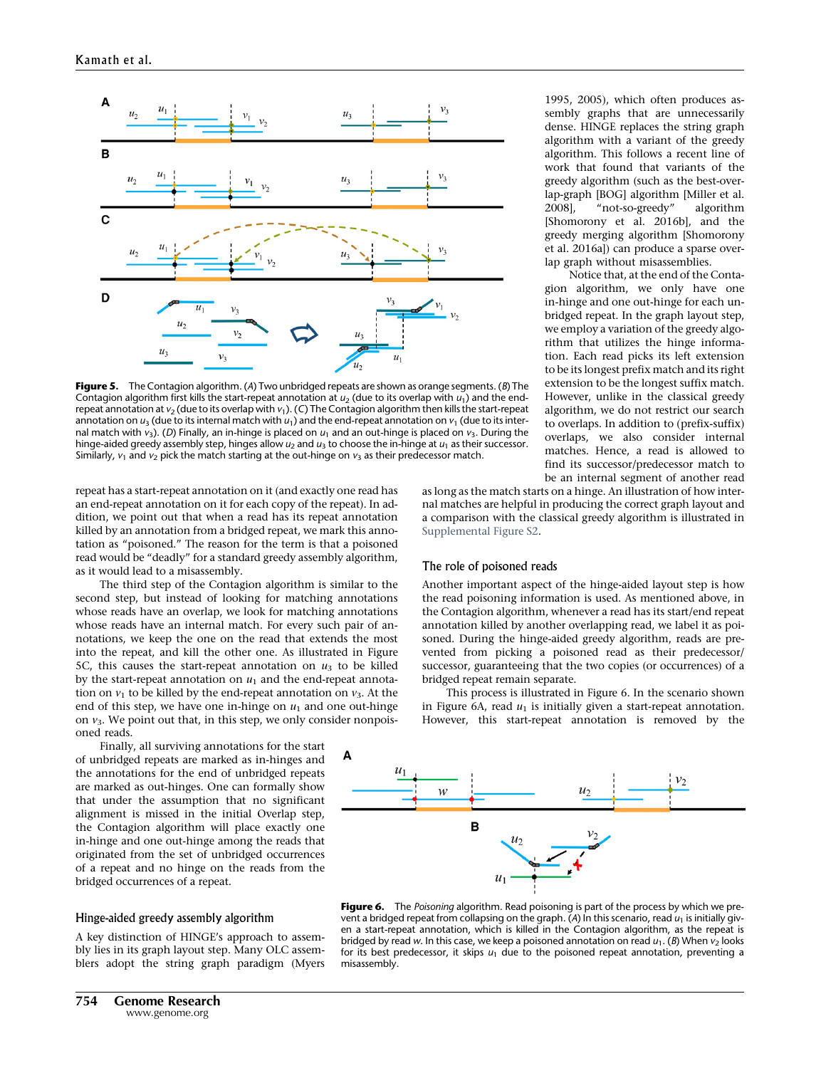

Figure 5. The Contagion algorithm. (A) Two unbridged repeats are shown as orange segments. (B) The Contagion algorithm first kills the start-repeat annotation at  $u_2$  (due to its overlap with  $u_1$ ) and the endrepeat annotation at  $v_2$  (due to its overlap with  $v_1$ ). (C) The Contagion algorithm then kills the start-repeat annotation on  $u_3$  (due to its internal match with  $u_1$ ) and the end-repeat annotation on  $v_1$  (due to its internal match with  $v_3$ ). (D) Finally, an in-hinge is placed on  $u_1$  and an out-hinge is placed on  $v_3$ . During the hinge-aided greedy assembly step, hinges allow  $u_2$  and  $u_3$  to choose the in-hinge at  $u_1$  as their successor. Similarly,  $v_1$  and  $v_2$  pick the match starting at the out-hinge on  $v_3$  as their predecessor match.

repeat has a start-repeat annotation on it (and exactly one read has an end-repeat annotation on it for each copy of the repeat). In addition, we point out that when a read has its repeat annotation killed by an annotation from a bridged repeat, we mark this annotation as "poisoned." The reason for the term is that a poisoned read would be "deadly" for a standard greedy assembly algorithm, as it would lead to a misassembly.

The third step of the Contagion algorithm is similar to the second step, but instead of looking for matching annotations whose reads have an overlap, we look for matching annotations whose reads have an internal match. For every such pair of annotations, we keep the one on the read that extends the most into the repeat, and kill the other one. As illustrated in Figure 5C, this causes the start-repeat annotation on  $u_3$  to be killed by the start-repeat annotation on  $u_1$  and the end-repeat annotation on  $v_1$  to be killed by the end-repeat annotation on  $v_3$ . At the end of this step, we have one in-hinge on  $u_1$  and one out-hinge on  $v_3$ . We point out that, in this step, we only consider nonpoisoned reads.

Finally, all surviving annotations for the start of unbridged repeats are marked as in-hinges and the annotations for the end of unbridged repeats are marked as out-hinges. One can formally show that under the assumption that no significant alignment is missed in the initial Overlap step, the Contagion algorithm will place exactly one in-hinge and one out-hinge among the reads that originated from the set of unbridged occurrences of a repeat and no hinge on the reads from the bridged occurrences of a repeat.

#### Hinge-aided greedy assembly algorithm

A key distinction of HINGE's approach to assembly lies in its graph layout step. Many OLC assemblers adopt the string graph paradigm (Myers 1995, 2005), which often produces assembly graphs that are unnecessarily dense. HINGE replaces the string graph algorithm with a variant of the greedy algorithm. This follows a recent line of work that found that variants of the greedy algorithm (such as the best-overlap-graph [BOG] algorithm [Miller et al. 2008], "not-so-greedy" algorithm [Shomorony et al. 2016b], and the greedy merging algorithm [Shomorony et al. 2016a]) can produce a sparse overlap graph without misassemblies.

Notice that, at the end of the Contagion algorithm, we only have one in-hinge and one out-hinge for each unbridged repeat. In the graph layout step, we employ a variation of the greedy algorithm that utilizes the hinge information. Each read picks its left extension to be its longest prefix match and its right extension to be the longest suffix match. However, unlike in the classical greedy algorithm, we do not restrict our search to overlaps. In addition to (prefix-suffix) overlaps, we also consider internal matches. Hence, a read is allowed to find its successor/predecessor match to be an internal segment of another read

as long as the match starts on a hinge. An illustration of how internal matches are helpful in producing the correct graph layout and a comparison with the classical greedy algorithm is illustrated in [Supplemental Figure S2](http://genome.cshlp.org/lookup/suppl/doi:10.1101/gr.216465.116/-/DC1).

#### The role of poisoned reads

Another important aspect of the hinge-aided layout step is how the read poisoning information is used. As mentioned above, in the Contagion algorithm, whenever a read has its start/end repeat annotation killed by another overlapping read, we label it as poisoned. During the hinge-aided greedy algorithm, reads are prevented from picking a poisoned read as their predecessor/ successor, guaranteeing that the two copies (or occurrences) of a bridged repeat remain separate.

This process is illustrated in Figure 6. In the scenario shown in Figure 6A, read  $u_1$  is initially given a start-repeat annotation. However, this start-repeat annotation is removed by the



Figure 6. The Poisoning algorithm. Read poisoning is part of the process by which we prevent a bridged repeat from collapsing on the graph. (A) In this scenario, read  $u_1$  is initially given a start-repeat annotation, which is killed in the Contagion algorithm, as the repeat is bridged by read w. In this case, we keep a poisoned annotation on read  $u_1$ . (B) When  $v_2$  looks for its best predecessor, it skips  $u_1$  due to the poisoned repeat annotation, preventing a misassembly.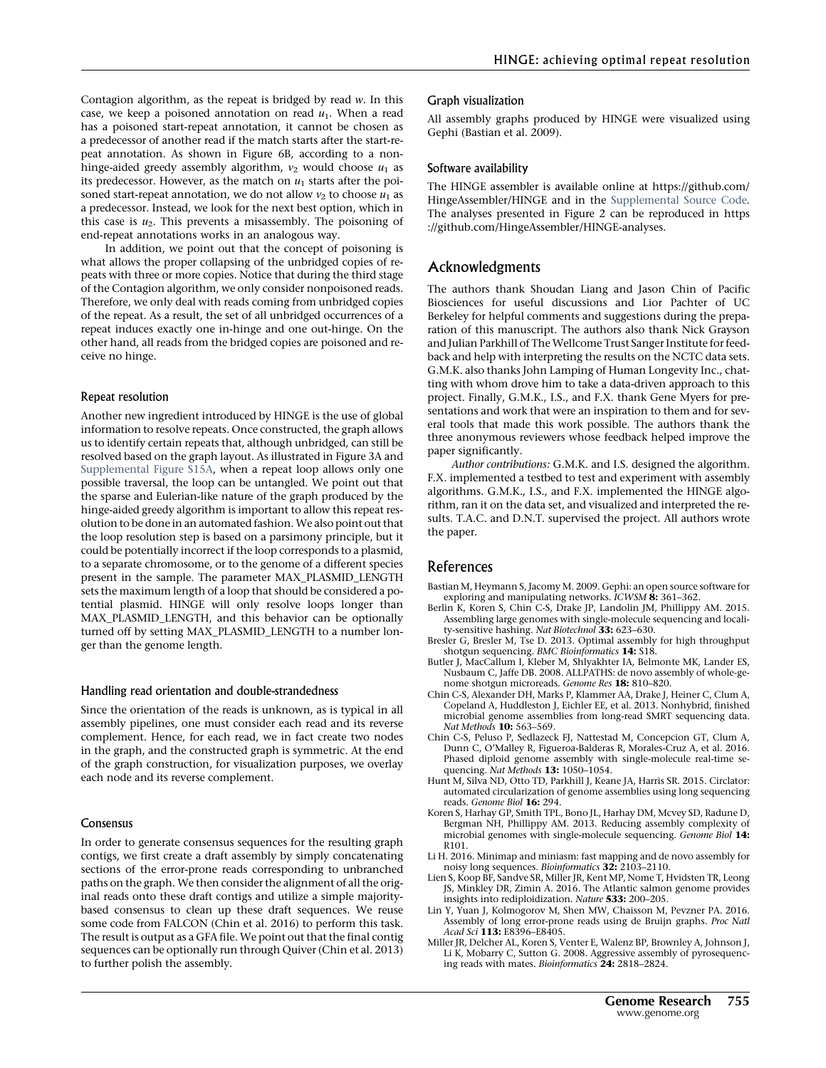Contagion algorithm, as the repeat is bridged by read w. In this case, we keep a poisoned annotation on read  $u_1$ . When a read has a poisoned start-repeat annotation, it cannot be chosen as a predecessor of another read if the match starts after the start-repeat annotation. As shown in Figure 6B, according to a nonhinge-aided greedy assembly algorithm,  $v_2$  would choose  $u_1$  as its predecessor. However, as the match on  $u_1$  starts after the poisoned start-repeat annotation, we do not allow  $v_2$  to choose  $u_1$  as a predecessor. Instead, we look for the next best option, which in this case is  $u_2$ . This prevents a misassembly. The poisoning of end-repeat annotations works in an analogous way.

In addition, we point out that the concept of poisoning is what allows the proper collapsing of the unbridged copies of repeats with three or more copies. Notice that during the third stage of the Contagion algorithm, we only consider nonpoisoned reads. Therefore, we only deal with reads coming from unbridged copies of the repeat. As a result, the set of all unbridged occurrences of a repeat induces exactly one in-hinge and one out-hinge. On the other hand, all reads from the bridged copies are poisoned and receive no hinge.

#### Repeat resolution

Another new ingredient introduced by HINGE is the use of global information to resolve repeats. Once constructed, the graph allows us to identify certain repeats that, although unbridged, can still be resolved based on the graph layout. As illustrated in Figure 3A and [Supplemental Figure S15A,](http://genome.cshlp.org/lookup/suppl/doi:10.1101/gr.216465.116/-/DC1) when a repeat loop allows only one possible traversal, the loop can be untangled. We point out that the sparse and Eulerian-like nature of the graph produced by the hinge-aided greedy algorithm is important to allow this repeat resolution to be done in an automated fashion.We also point out that the loop resolution step is based on a parsimony principle, but it could be potentially incorrect if the loop corresponds to a plasmid, to a separate chromosome, or to the genome of a different species present in the sample. The parameter MAX\_PLASMID\_LENGTH sets the maximum length of a loop that should be considered a potential plasmid. HINGE will only resolve loops longer than MAX\_PLASMID\_LENGTH, and this behavior can be optionally turned off by setting MAX\_PLASMID\_LENGTH to a number longer than the genome length.

#### Handling read orientation and double-strandedness

Since the orientation of the reads is unknown, as is typical in all assembly pipelines, one must consider each read and its reverse complement. Hence, for each read, we in fact create two nodes in the graph, and the constructed graph is symmetric. At the end of the graph construction, for visualization purposes, we overlay each node and its reverse complement.

#### Consensus

In order to generate consensus sequences for the resulting graph contigs, we first create a draft assembly by simply concatenating sections of the error-prone reads corresponding to unbranched paths on the graph. We then consider the alignment of all the original reads onto these draft contigs and utilize a simple majoritybased consensus to clean up these draft sequences. We reuse some code from FALCON (Chin et al. 2016) to perform this task. The result is output as a GFA file. We point out that the final contig sequences can be optionally run through Quiver (Chin et al. 2013) to further polish the assembly.

#### Graph visualization

All assembly graphs produced by HINGE were visualized using Gephi (Bastian et al. 2009).

#### Software availability

The HINGE assembler is available online at [https://github.com/](https://github.com/HingeAssembler/HINGE) [HingeAssembler/HINGE](https://github.com/HingeAssembler/HINGE) and in the [Supplemental Source Code.](http://genome.cshlp.org/lookup/suppl/doi:10.1101/gr.216465.116/-/DC1) The analyses presented in Figure 2 can be reproduced in [https](https://github.com/HingeAssembler/HINGE-analyses) [://github.com/HingeAssembler/HINGE-analyses.](https://github.com/HingeAssembler/HINGE-analyses)

## Acknowledgments

The authors thank Shoudan Liang and Jason Chin of Pacific Biosciences for useful discussions and Lior Pachter of UC Berkeley for helpful comments and suggestions during the preparation of this manuscript. The authors also thank Nick Grayson and Julian Parkhill of The Wellcome Trust Sanger Institute for feedback and help with interpreting the results on the NCTC data sets. G.M.K. also thanks John Lamping of Human Longevity Inc., chatting with whom drove him to take a data-driven approach to this project. Finally, G.M.K., I.S., and F.X. thank Gene Myers for presentations and work that were an inspiration to them and for several tools that made this work possible. The authors thank the three anonymous reviewers whose feedback helped improve the paper significantly.

Author contributions: G.M.K. and I.S. designed the algorithm. F.X. implemented a testbed to test and experiment with assembly algorithms. G.M.K., I.S., and F.X. implemented the HINGE algorithm, ran it on the data set, and visualized and interpreted the results. T.A.C. and D.N.T. supervised the project. All authors wrote the paper.

## **References**

- Bastian M, Heymann S, Jacomy M. 2009. Gephi: an open source software for exploring and manipulating networks. ICWSM 8: 361-362.
- Berlin K, Koren S, Chin C-S, Drake JP, Landolin JM, Phillippy AM. 2015. Assembling large genomes with single-molecule sequencing and locality-sensitive hashing. Nat Biotechnol 33: 623-630.
- Bresler G, Bresler M, Tse D. 2013. Optimal assembly for high throughput shotgun sequencing. BMC Bioinformatics 14: S18.
- Butler J, MacCallum I, Kleber M, Shlyakhter IA, Belmonte MK, Lander ES, Nusbaum C, Jaffe DB. 2008. ALLPATHS: de novo assembly of whole-genome shotgun microreads. Genome Res 18: 810–820.
- Chin C-S, Alexander DH, Marks P, Klammer AA, Drake J, Heiner C, Clum A, Copeland A, Huddleston J, Eichler EE, et al. 2013. Nonhybrid, finished microbial genome assemblies from long-read SMRT sequencing data. Nat Methods 10: 563-569.
- Chin C-S, Peluso P, Sedlazeck FJ, Nattestad M, Concepcion GT, Clum A, Dunn C, O'Malley R, Figueroa-Balderas R, Morales-Cruz A, et al. 2016. Phased diploid genome assembly with single-molecule real-time se-
- quencing. *Nat Methods* **13:** 1050–1054.<br>Hunt M, Silva ND, Otto TD, Parkhill J, Keane JA, Harris SR. 2015. Circlator: automated circularization of genome assemblies using long sequencing reads. Genome Biol 16: 294.
- Koren S, Harhay GP, Smith TPL, Bono JL, Harhay DM, Mcvey SD, Radune D, Bergman NH, Phillippy AM. 2013. Reducing assembly complexity of microbial genomes with single-molecule sequencing. Genome Biol 14: R101.
- Li H. 2016. Minimap and miniasm: fast mapping and de novo assembly for noisy long sequences. Bioinformatics 32: 2103–2110.
- Lien S, Koop BF, Sandve SR, Miller JR, Kent MP, Nome T, Hvidsten TR, Leong JS, Minkley DR, Zimin A. 2016. The Atlantic salmon genome provides insights into rediploidization. Nature 533: 200–205.
- Lin Y, Yuan J, Kolmogorov M, Shen MW, Chaisson M, Pevzner PA. 2016. Assembly of long error-prone reads using de Bruijn graphs. Proc Natl Acad Sci 113: E8396-E8405.
- Miller JR, Delcher AL, Koren S, Venter E, Walenz BP, Brownley A, Johnson J, Li K, Mobarry C, Sutton G. 2008. Aggressive assembly of pyrosequencing reads with mates. Bioinformatics 24: 2818–2824.